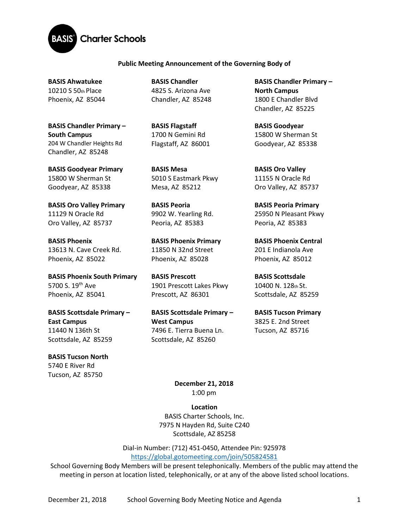

## **Public Meeting Announcement of the Governing Body of**

**BASIS Ahwatukee**  10210 S 50th Place Phoenix, AZ 85044

**BASIS Chandler Primary – South Campus**  204 W Chandler Heights Rd Chandler, AZ 85248

**BASIS Goodyear Primary**  15800 W Sherman St Goodyear, AZ 85338

**BASIS Oro Valley Primary**  11129 N Oracle Rd Oro Valley, AZ 85737

**BASIS Phoenix**  13613 N. Cave Creek Rd. Phoenix, AZ 85022

**BASIS Phoenix South Primary**  5700 S. 19<sup>th</sup> Ave Phoenix, AZ 85041

**BASIS Scottsdale Primary – East Campus** 11440 N 136th St Scottsdale, AZ 85259

**BASIS Tucson North**  5740 E River Rd Tucson, AZ 85750

**BASIS Chandler**  4825 S. Arizona Ave Chandler, AZ 85248

**BASIS Flagstaff**  1700 N Gemini Rd Flagstaff, AZ 86001

**BASIS Mesa**  5010 S Eastmark Pkwy Mesa, AZ 85212

**BASIS Peoria**  9902 W. Yearling Rd. Peoria, AZ 85383

**BASIS Phoenix Primary** 11850 N 32nd Street Phoenix, AZ 85028

**BASIS Prescott**  1901 Prescott Lakes Pkwy Prescott, AZ 86301

**BASIS Scottsdale Primary – West Campus** 7496 E. Tierra Buena Ln. Scottsdale, AZ 85260

**BASIS Chandler Primary – North Campus**  1800 E Chandler Blvd Chandler, AZ 85225

**BASIS Goodyear**  15800 W Sherman St Goodyear, AZ 85338

**BASIS Oro Valley**  11155 N Oracle Rd Oro Valley, AZ 85737

**BASIS Peoria Primary**  25950 N Pleasant Pkwy Peoria, AZ 85383

**BASIS Phoenix Central**  201 E Indianola Ave Phoenix, AZ 85012

**BASIS Scottsdale**  10400 N. 128th St. Scottsdale, AZ 85259

**BASIS Tucson Primary**  3825 E. 2nd Street Tucson, AZ 85716

**December 21, 2018** 1:00 pm

**Location** BASIS Charter Schools, Inc. 7975 N Hayden Rd, Suite C240 Scottsdale, AZ 85258

Dial-in Number: (712) 451-0450, Attendee Pin: 925978 <https://global.gotomeeting.com/join/505824581>

School Governing Body Members will be present telephonically. Members of the public may attend the meeting in person at location listed, telephonically, or at any of the above listed school locations.